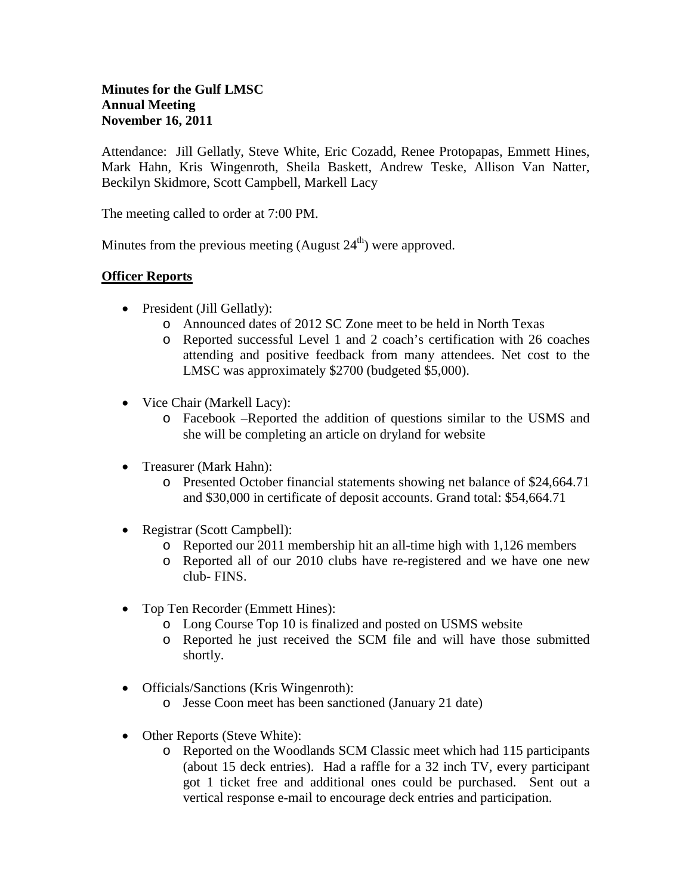Attendance: Jill Gellatly, Steve White, Eric Cozadd, Renee Protopapas, Emmett Hines, Mark Hahn, Kris Wingenroth, Sheila Baskett, Andrew Teske, Allison Van Natter, Beckilyn Skidmore, Scott Campbell, Markell Lacy

The meeting called to order at 7:00 PM.

Minutes from the previous meeting (August  $24<sup>th</sup>$ ) were approved.

## **Officer Reports**

- President (Jill Gellatly):
	- o Announced dates of 2012 SC Zone meet to be held in North Texas
	- o Reported successful Level 1 and 2 coach's certification with 26 coaches attending and positive feedback from many attendees. Net cost to the LMSC was approximately \$2700 (budgeted \$5,000).
- Vice Chair (Markell Lacy):
	- o Facebook –Reported the addition of questions similar to the USMS and she will be completing an article on dryland for website
- Treasurer (Mark Hahn):
	- o Presented October financial statements showing net balance of \$24,664.71 and \$30,000 in certificate of deposit accounts. Grand total: \$54,664.71
- Registrar (Scott Campbell):
	- o Reported our 2011 membership hit an all-time high with 1,126 members
	- o Reported all of our 2010 clubs have re-registered and we have one new club- FINS.
- Top Ten Recorder (Emmett Hines):
	- o Long Course Top 10 is finalized and posted on USMS website
	- o Reported he just received the SCM file and will have those submitted shortly.
- Officials/Sanctions (Kris Wingenroth):
	- o Jesse Coon meet has been sanctioned (January 21 date)
- Other Reports (Steve White):
	- o Reported on the Woodlands SCM Classic meet which had 115 participants (about 15 deck entries). Had a raffle for a 32 inch TV, every participant got 1 ticket free and additional ones could be purchased. Sent out a vertical response e-mail to encourage deck entries and participation.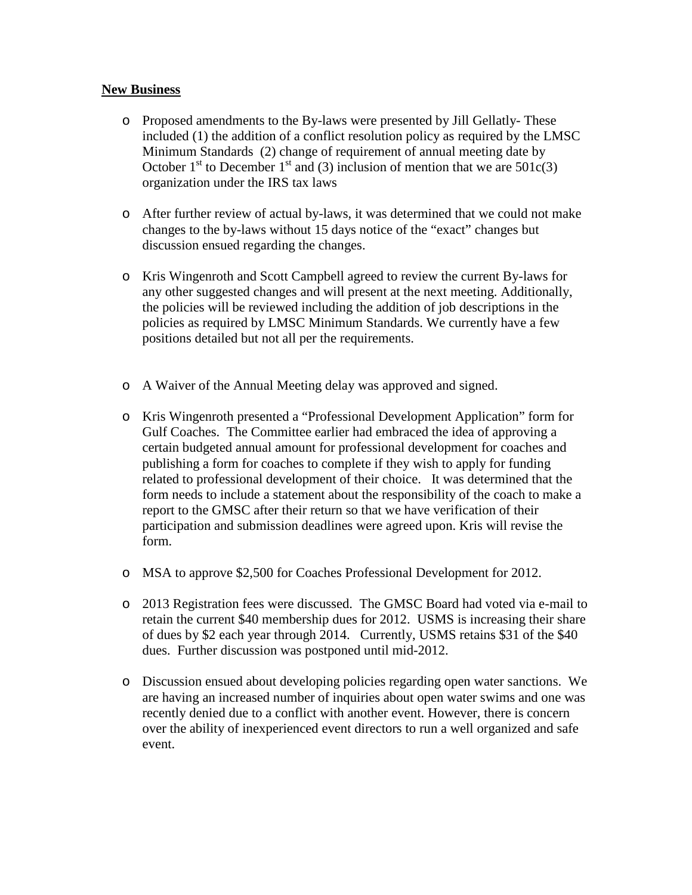## **New Business**

- o Proposed amendments to the By-laws were presented by Jill Gellatly- These included (1) the addition of a conflict resolution policy as required by the LMSC Minimum Standards (2) change of requirement of annual meeting date by October 1<sup>st</sup> to December 1<sup>st</sup> and (3) inclusion of mention that we are  $501c(3)$ organization under the IRS tax laws
- o After further review of actual by-laws, it was determined that we could not make changes to the by-laws without 15 days notice of the "exact" changes but discussion ensued regarding the changes.
- o Kris Wingenroth and Scott Campbell agreed to review the current By-laws for any other suggested changes and will present at the next meeting. Additionally, the policies will be reviewed including the addition of job descriptions in the policies as required by LMSC Minimum Standards. We currently have a few positions detailed but not all per the requirements.
- o A Waiver of the Annual Meeting delay was approved and signed.
- o Kris Wingenroth presented a "Professional Development Application" form for Gulf Coaches. The Committee earlier had embraced the idea of approving a certain budgeted annual amount for professional development for coaches and publishing a form for coaches to complete if they wish to apply for funding related to professional development of their choice. It was determined that the form needs to include a statement about the responsibility of the coach to make a report to the GMSC after their return so that we have verification of their participation and submission deadlines were agreed upon. Kris will revise the form.
- o MSA to approve \$2,500 for Coaches Professional Development for 2012.
- o 2013 Registration fees were discussed. The GMSC Board had voted via e-mail to retain the current \$40 membership dues for 2012. USMS is increasing their share of dues by \$2 each year through 2014. Currently, USMS retains \$31 of the \$40 dues. Further discussion was postponed until mid-2012.
- o Discussion ensued about developing policies regarding open water sanctions. We are having an increased number of inquiries about open water swims and one was recently denied due to a conflict with another event. However, there is concern over the ability of inexperienced event directors to run a well organized and safe event.